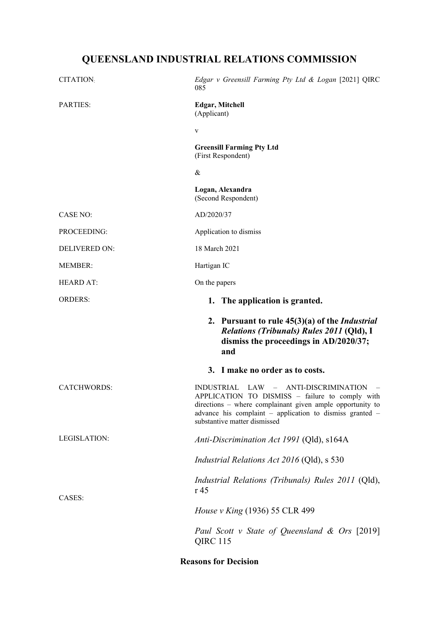# **QUEENSLAND INDUSTRIAL RELATIONS COMMISSION**

| CITATION <sub>:</sub> | Edgar v Greensill Farming Pty Ltd & Logan [2021] QIRC<br>085                                                                                                                                                                                     |
|-----------------------|--------------------------------------------------------------------------------------------------------------------------------------------------------------------------------------------------------------------------------------------------|
| <b>PARTIES:</b>       | <b>Edgar, Mitchell</b><br>(Applicant)                                                                                                                                                                                                            |
|                       | V                                                                                                                                                                                                                                                |
|                       | <b>Greensill Farming Pty Ltd</b><br>(First Respondent)                                                                                                                                                                                           |
|                       | &                                                                                                                                                                                                                                                |
|                       | Logan, Alexandra<br>(Second Respondent)                                                                                                                                                                                                          |
| <b>CASE NO:</b>       | AD/2020/37                                                                                                                                                                                                                                       |
| PROCEEDING:           | Application to dismiss                                                                                                                                                                                                                           |
| DELIVERED ON:         | 18 March 2021                                                                                                                                                                                                                                    |
| <b>MEMBER:</b>        | Hartigan IC                                                                                                                                                                                                                                      |
| <b>HEARD AT:</b>      | On the papers                                                                                                                                                                                                                                    |
| <b>ORDERS:</b>        | 1. The application is granted.                                                                                                                                                                                                                   |
|                       | 2. Pursuant to rule $45(3)(a)$ of the <i>Industrial</i><br>Relations (Tribunals) Rules 2011 (Qld), I<br>dismiss the proceedings in AD/2020/37;<br>and                                                                                            |
|                       | 3. I make no order as to costs.                                                                                                                                                                                                                  |
| <b>CATCHWORDS:</b>    | INDUSTRIAL LAW - ANTI-DISCRIMINATION<br>APPLICATION TO DISMISS - failure to comply with<br>directions - where complainant given ample opportunity to<br>advance his complaint - application to dismiss granted -<br>substantive matter dismissed |
| LEGISLATION:          | Anti-Discrimination Act 1991 (Qld), s164A                                                                                                                                                                                                        |
|                       | <i>Industrial Relations Act 2016</i> (Qld), s 530                                                                                                                                                                                                |
| CASES:                | <i>Industrial Relations (Tribunals) Rules 2011</i> (Qld),<br>r 45                                                                                                                                                                                |
|                       | <i>House v King</i> (1936) 55 CLR 499                                                                                                                                                                                                            |
|                       | Paul Scott v State of Queensland & Ors [2019]<br><b>QIRC 115</b>                                                                                                                                                                                 |

## **Reasons for Decision**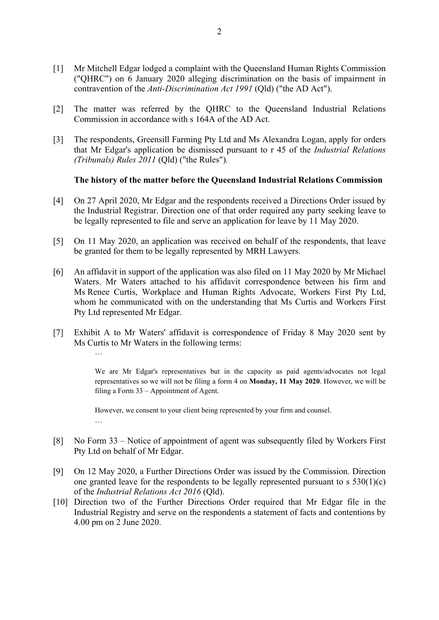- [1] Mr Mitchell Edgar lodged a complaint with the Queensland Human Rights Commission ("QHRC") on 6 January 2020 alleging discrimination on the basis of impairment in contravention of the *Anti-Discrimination Act 1991* (Qld) ("the AD Act").
- [2] The matter was referred by the QHRC to the Queensland Industrial Relations Commission in accordance with s 164A of the AD Act.
- [3] The respondents, Greensill Farming Pty Ltd and Ms Alexandra Logan, apply for orders that Mr Edgar's application be dismissed pursuant to r 45 of the *Industrial Relations (Tribunals) Rules 2011* (Qld) ("the Rules")*.*

#### **The history of the matter before the Queensland Industrial Relations Commission**

- [4] On 27 April 2020, Mr Edgar and the respondents received a Directions Order issued by the Industrial Registrar. Direction one of that order required any party seeking leave to be legally represented to file and serve an application for leave by 11 May 2020.
- [5] On 11 May 2020, an application was received on behalf of the respondents, that leave be granted for them to be legally represented by MRH Lawyers.
- [6] An affidavit in support of the application was also filed on 11 May 2020 by Mr Michael Waters. Mr Waters attached to his affidavit correspondence between his firm and Ms Renee Curtis, Workplace and Human Rights Advocate, Workers First Pty Ltd, whom he communicated with on the understanding that Ms Curtis and Workers First Pty Ltd represented Mr Edgar.
- [7] Exhibit A to Mr Waters' affidavit is correspondence of Friday 8 May 2020 sent by Ms Curtis to Mr Waters in the following terms:

…

We are Mr Edgar's representatives but in the capacity as paid agents/advocates not legal representatives so we will not be filing a form 4 on **Monday, 11 May 2020**. However, we will be filing a Form 33 – Appointment of Agent.

However, we consent to your client being represented by your firm and counsel. …

- [8] No Form 33 Notice of appointment of agent was subsequently filed by Workers First Pty Ltd on behalf of Mr Edgar.
- [9] On 12 May 2020, a Further Directions Order was issued by the Commission. Direction one granted leave for the respondents to be legally represented pursuant to s 530(1)(c) of the *Industrial Relations Act 2016* (Qld).
- [10] Direction two of the Further Directions Order required that Mr Edgar file in the Industrial Registry and serve on the respondents a statement of facts and contentions by 4.00 pm on 2 June 2020.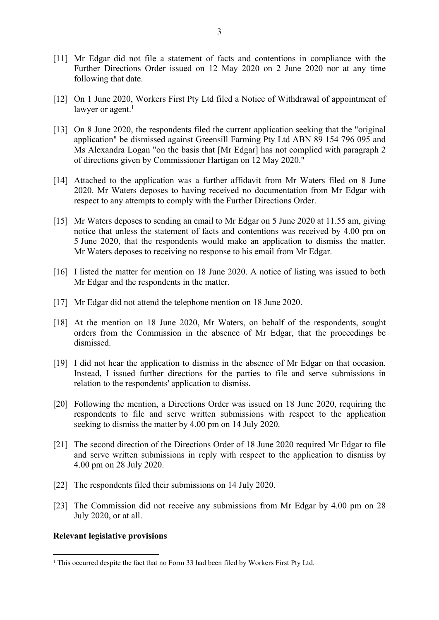- [11] Mr Edgar did not file a statement of facts and contentions in compliance with the Further Directions Order issued on 12 May 2020 on 2 June 2020 nor at any time following that date.
- [12] On 1 June 2020, Workers First Pty Ltd filed a Notice of Withdrawal of appointment of lawyer or agent.<sup>1</sup>
- [13] On 8 June 2020, the respondents filed the current application seeking that the "original application" be dismissed against Greensill Farming Pty Ltd ABN 89 154 796 095 and Ms Alexandra Logan "on the basis that [Mr Edgar] has not complied with paragraph 2 of directions given by Commissioner Hartigan on 12 May 2020."
- [14] Attached to the application was a further affidavit from Mr Waters filed on 8 June 2020. Mr Waters deposes to having received no documentation from Mr Edgar with respect to any attempts to comply with the Further Directions Order.
- [15] Mr Waters deposes to sending an email to Mr Edgar on 5 June 2020 at 11.55 am, giving notice that unless the statement of facts and contentions was received by 4.00 pm on 5 June 2020, that the respondents would make an application to dismiss the matter. Mr Waters deposes to receiving no response to his email from Mr Edgar.
- [16] I listed the matter for mention on 18 June 2020. A notice of listing was issued to both Mr Edgar and the respondents in the matter.
- [17] Mr Edgar did not attend the telephone mention on 18 June 2020.
- [18] At the mention on 18 June 2020, Mr Waters, on behalf of the respondents, sought orders from the Commission in the absence of Mr Edgar, that the proceedings be dismissed.
- [19] I did not hear the application to dismiss in the absence of Mr Edgar on that occasion. Instead, I issued further directions for the parties to file and serve submissions in relation to the respondents' application to dismiss.
- [20] Following the mention, a Directions Order was issued on 18 June 2020, requiring the respondents to file and serve written submissions with respect to the application seeking to dismiss the matter by 4.00 pm on 14 July 2020.
- [21] The second direction of the Directions Order of 18 June 2020 required Mr Edgar to file and serve written submissions in reply with respect to the application to dismiss by 4.00 pm on 28 July 2020.
- [22] The respondents filed their submissions on 14 July 2020.
- [23] The Commission did not receive any submissions from Mr Edgar by 4.00 pm on 28 July 2020, or at all.

#### **Relevant legislative provisions**

<sup>&</sup>lt;sup>1</sup> This occurred despite the fact that no Form 33 had been filed by Workers First Pty Ltd.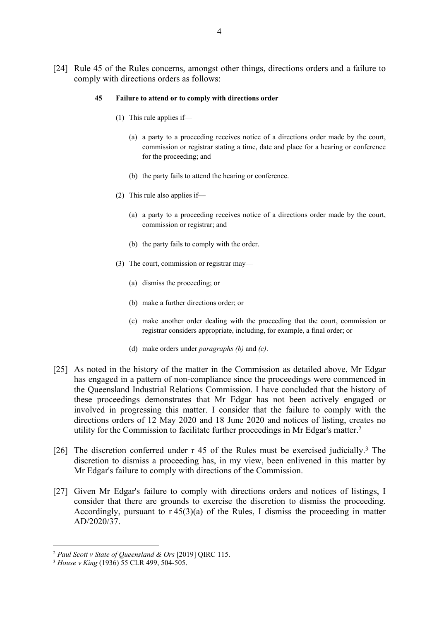[24] Rule 45 of the Rules concerns, amongst other things, directions orders and a failure to comply with directions orders as follows:

#### **45 Failure to attend or to comply with directions order**

- (1) This rule applies if—
	- (a) a party to a proceeding receives notice of a directions order made by the court, commission or registrar stating a time, date and place for a hearing or conference for the proceeding; and
	- (b) the party fails to attend the hearing or conference.
- (2) This rule also applies if—
	- (a) a party to a proceeding receives notice of a directions order made by the court, commission or registrar; and
	- (b) the party fails to comply with the order.
- (3) The court, commission or registrar may—
	- (a) dismiss the proceeding; or
	- (b) make a further directions order; or
	- (c) make another order dealing with the proceeding that the court, commission or registrar considers appropriate, including, for example, a final order; or
	- (d) make orders under *paragraphs (b)* and *(c)*.
- [25] As noted in the history of the matter in the Commission as detailed above, Mr Edgar has engaged in a pattern of non-compliance since the proceedings were commenced in the Queensland Industrial Relations Commission. I have concluded that the history of these proceedings demonstrates that Mr Edgar has not been actively engaged or involved in progressing this matter. I consider that the failure to comply with the directions orders of 12 May 2020 and 18 June 2020 and notices of listing, creates no utility for the Commission to facilitate further proceedings in Mr Edgar's matter.<sup>2</sup>
- [26] The discretion conferred under r 45 of the Rules must be exercised judicially.<sup>3</sup> The discretion to dismiss a proceeding has, in my view, been enlivened in this matter by Mr Edgar's failure to comply with directions of the Commission.
- [27] Given Mr Edgar's failure to comply with directions orders and notices of listings, I consider that there are grounds to exercise the discretion to dismiss the proceeding. Accordingly, pursuant to  $r 45(3)(a)$  of the Rules, I dismiss the proceeding in matter AD/2020/37.

<sup>2</sup> *Paul Scott v State of Queensland & Ors* [2019] QIRC 115.

<sup>3</sup> *House v King* (1936) 55 CLR 499, 504-505.